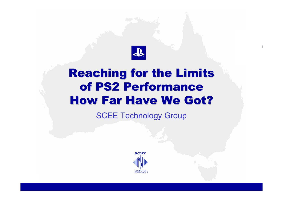

# **Reaching for the Limits** of PS2 Performance **How Far Have We Got?**

SCEE Technology Group

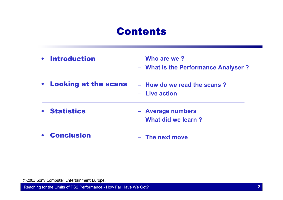## **Contents**

- $\bullet$  Introduction– **Who are we ?**
	- **What is the Performance Analyser ?**
- $\bullet$  Looking at the scans – **How do we read the scans ?**
	- **Live action**
- Statistics
- **Average numbers**
- **What did we learn ?**
- • Conclusion– **The next move**

©2003 Sony Computer Entertainment Europe.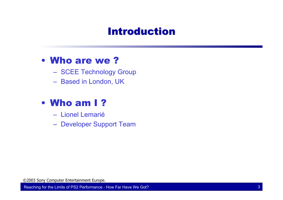# **Introduction**

#### • Who are we ?

- SCEE Technology Group
- Based in London, UK

#### • Who am I ?

- Lionel Lemarié
- Developer Support Team

©2003 Sony Computer Entertainment Europe.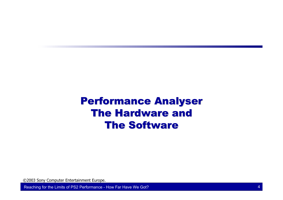# **Performance Analyser The Hardware and The Software**

©2003 Sony Computer Entertainment Europe.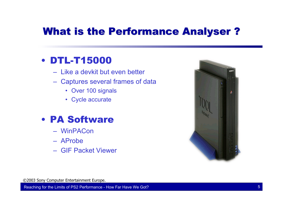# What is the Performance Analyser?

#### • DTL-T15000

- Like a devkit but even better
- Captures several frames of data
	- Over 100 signals
	- Cycle accurate

#### • PA Software

- WinPACon
- AProbe
- GIF Packet Viewer



©2003 Sony Computer Entertainment Europe.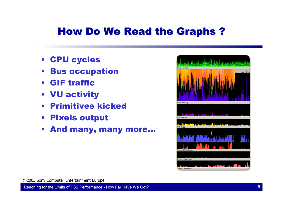# How Do We Read the Graphs?

- CPU cycles
- Bus occupation
- GIF traffic
- VU activity
- Primitives kicked
- Pixels output
- And many, many more…



©2003 Sony Computer Entertainment Europe.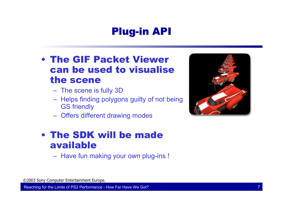# Plug-in API

#### • The GIF Packet Viewer can be used to visualise the scene

- The scene is fully 3D
- $-$  Helps finding polygons guilty of not being GS friendly
- Offers different drawing modes

#### • The SDK will be made available

– Have fun making your own plug-ins !

©2003 Sony Computer Entertainment Europe.

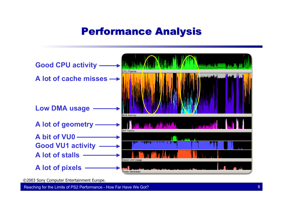# Performance Analysis Performance Analysis



©2003 Sony Computer Entertainment Europe.

Reaching for the Limits of PS2 Performance - How Far Have We Got? 8 All the state of the state of the state of the state of the state of the state of the state of the state of the state of the state of the state of the sta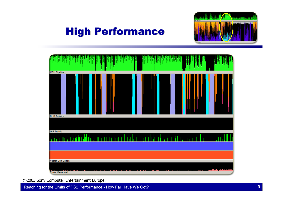## **High Performance**





©2003 Sony Computer Entertainment Europe.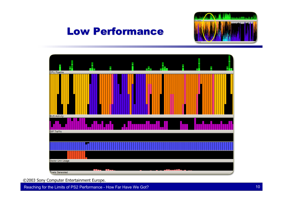#### **Low Performance**





©2003 Sony Computer Entertainment Europe.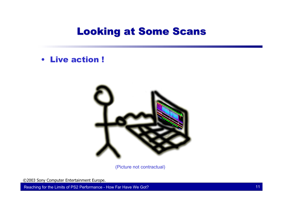## **Looking at Some Scans**

• Live action !



(Picture not contractual)

©2003 Sony Computer Entertainment Europe.

Reaching for the Limits of PS2 Performance - How Far Have We Got? 11 11 12 12 13 14 15 16 17 17 18 17 18 17 19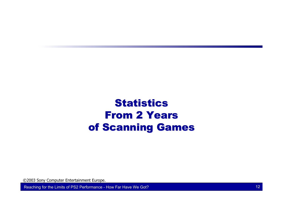# Statistics **From 2 Years** of Scanning Games

©2003 Sony Computer Entertainment Europe.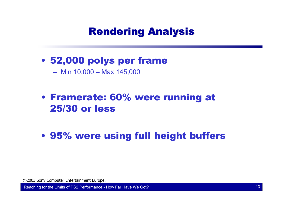# **Rendering Analysis**

• 52,000 polys per frame

– Min 10,000 – Max 145,000

#### • Framerate: 60% were running at 25/30 or less

• 95% were using full height buffers

©2003 Sony Computer Entertainment Europe.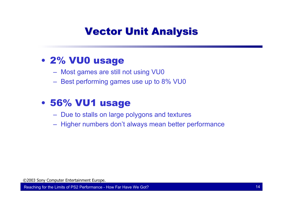# **Vector Unit Analysis**

#### • 2% VU0 usage

- Most games are still not using VU0
- Best performing games use up to 8% VU0

#### • 56% VU1 usage

- $\,$  Due to stalls on large polygons and textures
- Higher numbers don't always mean better performance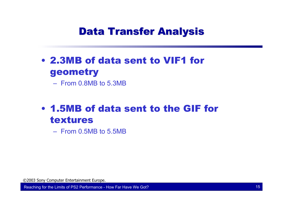# **Data Transfer Analysis**

• 2.3MB of data sent to VIF1 for geometry

– From 0.8MB to 5.3MB

## • 1.5MB of data sent to the GIF for textures

– From 0.5MB to 5.5MB

©2003 Sony Computer Entertainment Europe.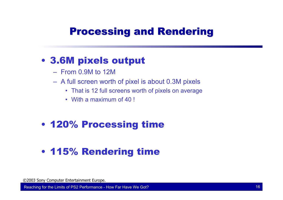# **Processing and Rendering**

#### • 3.6M pixels output

- From 0.9M to 12M
- A full screen worth of pixel is about 0.3M pixels
	- That is 12 full screens worth of pixels on average
	- With a maximum of 40 !

#### • 120% Processing time

#### • 115% Rendering time

©2003 Sony Computer Entertainment Europe.

Reaching for the Limits of PS2 Performance - How Far Have We Got? 16 April 16 April 16 April 16 April 16 April 16 April 16 April 16 April 16 April 16 April 16 April 16 April 16 April 16 April 16 April 16 April 16 April 16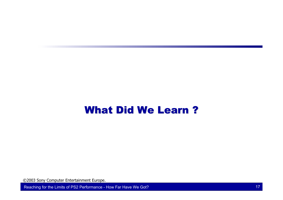## What Did We Learn?

©2003 Sony Computer Entertainment Europe.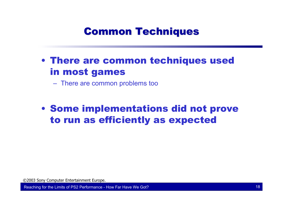# **Common Techniques**

• There are common techniques used in most games

There are common problems too

• Some implementations did not prove to run as efficiently as expected

©2003 Sony Computer Entertainment Europe.

Reaching for the Limits of PS2 Performance - How Far Have We Got? 18 and 18 and 18 and 18 and 18 and 18 and 18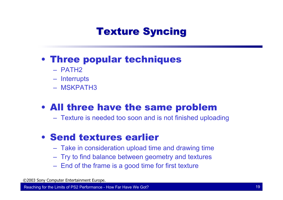# **Texture Syncing**

#### • Three popular techniques

- PATH2
- Interrupts
- MSKPATH3

## • All three have the same problem

Texture is needed too soon and is not finished uploading

#### • Send textures earlier

- Take in consideration upload time and drawing time
- Try to find balance between geometry and textures
- $-$  End of the frame is a good time for first texture

©2003 Sony Computer Entertainment Europe.

Reaching for the Limits of PS2 Performance - How Far Have We Got? 19 April 19 April 19 April 19 April 19 April 19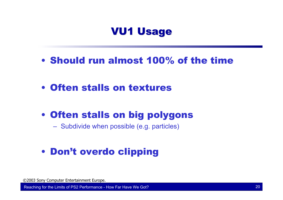## **VU1 Usage**

- Should run almost 100% of the time
- Often stalls on textures
- Often stalls on big polygons

Subdivide when possible (e.g. particles)

### • Don't overdo clipping

©2003 Sony Computer Entertainment Europe.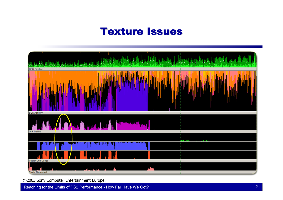## **Texture Issues**



©2003 Sony Computer Entertainment Europe.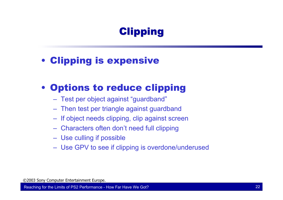# **Clipping**

• Clipping is expensive

#### • Options to reduce clipping

- Test per object against "guardband"
- Then test per triangle against guardband
- $-$  If object needs clipping, clip against screen
- Characters often don't need full clipping
- Use culling if possible
- Use GPV to see if clipping is overdone/underused

©2003 Sony Computer Entertainment Europe.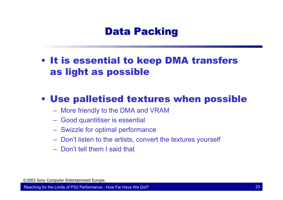## **Data Packing**

• It is essential to keep DMA transfers as light as possible

#### • Use palletised textures when possible

- More friendly to the DMA and VRAM
- Good quantitiser is essential
- Swizzle for optimal performance
- $\hbox{--}$  Don't listen to the artists, convert the textures yourself
- Don't tell them I said that

©2003 Sony Computer Entertainment Europe.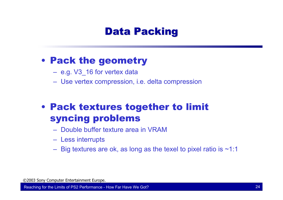## **Data Packing**

#### • Pack the geometry

- e.g. V3\_16 for vertex data
- Use vertex compression, i.e. delta compression

## • Pack textures together to limit syncing problems

- Double buffer texture area in VRAM
- Less interrupts
- $-$  Big textures are ok, as long as the texel to pixel ratio is ~1:1  $\,$

©2003 Sony Computer Entertainment Europe.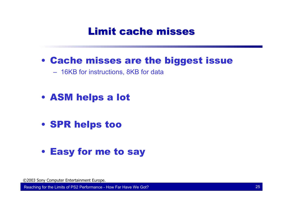## **Limit cache misses**

• Cache misses are the biggest issue

– 16KB for instructions, 8KB for data

- ASM helps a lot
- SPR helps too

#### • Easy for me to say

©2003 Sony Computer Entertainment Europe.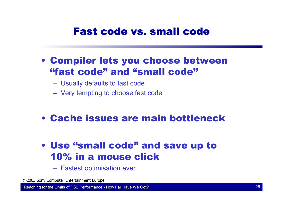## Fast code vs. small code

- Compiler lets you choose between "fast code" and "small code"
	- Usually defaults to fast code
	- Very tempting to choose fast code
- Cache issues are main bottleneck
- Use "small code" and save up to 10% in a mouse click
	- Fastest optimisation ever

©2003 Sony Computer Entertainment Europe.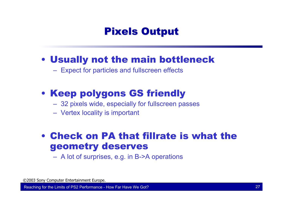## **Pixels Output**

#### • Usually not the main bottleneck

Expect for particles and fullscreen effects

## • Keep polygons GS friendly

- 32 pixels wide, especially for fullscreen passes
- Vertex locality is important

#### • Check on PA that fillrate is what the geometry deserves

A lot of surprises, e.g. in B->A operations

©2003 Sony Computer Entertainment Europe.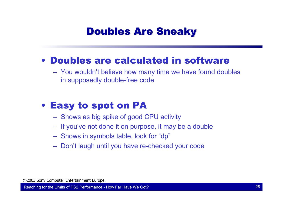## **Doubles Are Sneaky**

#### • Doubles are calculated in software

 You wouldn't believe how many time we have found doubles in supposedly double-free code

#### • Easy to spot on PA

- $-$  Shows as big spike of good CPU activity
- If you've not done it on purpose, it may be a double
- Shows in symbols table, look for "dp"
- Don't laugh until you have re-checked your code

©2003 Sony Computer Entertainment Europe.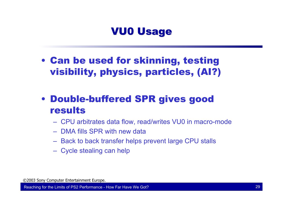## **VU0 Usage**

- Can be used for skinning, testing visibility, physics, particles, (AI?)
- Double-buffered SPR gives good results
	- CPU arbitrates data flow, read/writes VU0 in macro-mode
	- DMA fills SPR with new data
	- $-$  Back to back transfer helps prevent large CPU stalls
	- Cycle stealing can help

©2003 Sony Computer Entertainment Europe.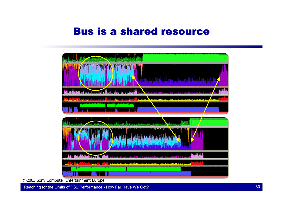#### **Bus is a shared resource**



©2003 Sony Computer Entertainment Europe.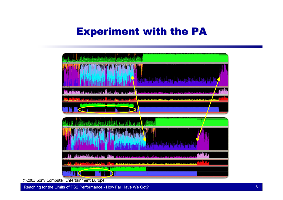# **Experiment with the PA**



©2003 Sony Computer Entertainment Europe.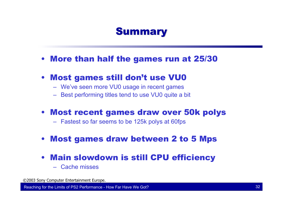## **Summary**

- More than half the games run at 25/30
- Most games still don't use VU0
	- We've seen more VU0 usage in recent games
	- Best performing titles tend to use VU0 quite a bit
- Most recent games draw over 50k polys
	- Fastest so far seems to be 125k polys at 60fps
- Most games draw between 2 to 5 Mps
- Main slowdown is still CPU efficiency
	- Cache misses

©2003 Sony Computer Entertainment Europe.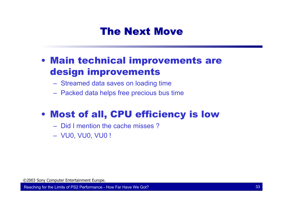# The Next Move

#### • Main technical improvements are design improvements

- Streamed data saves on loading time
- Packed data helps free precious bus time

# • Most of all, CPU efficiency is low

- Did I mention the cache misses ?
- VU0, VU0, VU0 !

©2003 Sony Computer Entertainment Europe.